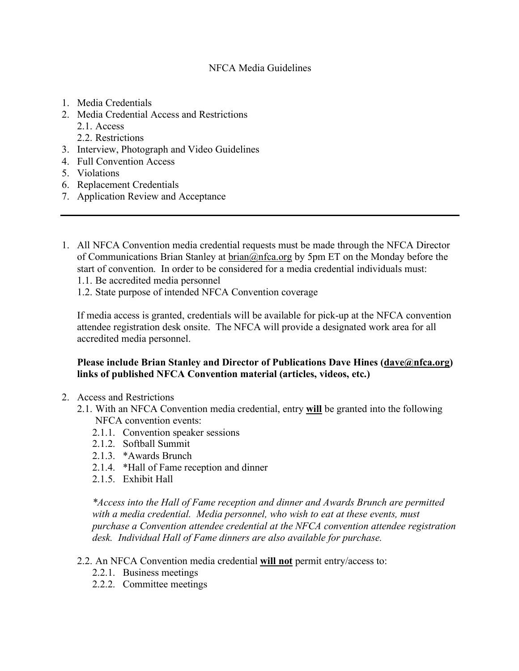## NFCA Media Guidelines

- 1. Media Credentials
- 2. Media Credential Access and Restrictions
	- 2.1. Access
	- 2.2. Restrictions
- 3. Interview, Photograph and Video Guidelines
- 4. Full Convention Access
- 5. Violations
- 6. Replacement Credentials
- 7. Application Review and Acceptance
- 1. All NFCA Convention media credential requests must be made through the NFCA Director of Communications Brian Stanley at brian@nfca.org by 5pm ET on the Monday before the start of convention. In order to be considered for a media credential individuals must:
	- 1.1. Be accredited media personnel
	- 1.2. State purpose of intended NFCA Convention coverage

If media access is granted, credentials will be available for pick-up at the NFCA convention attendee registration desk onsite. The NFCA will provide a designated work area for all accredited media personnel.

## **Please include Brian Stanley and Director of Publications Dave Hines (dave@nfca.org) links of published NFCA Convention material (articles, videos, etc.)**

- 2. Access and Restrictions
	- 2.1. With an NFCA Convention media credential, entry **will** be granted into the following NFCA convention events:
		- 2.1.1. Convention speaker sessions
		- 2.1.2. Softball Summit
		- 2.1.3. \*Awards Brunch
		- 2.1.4. \*Hall of Fame reception and dinner
		- 2.1.5 Exhibit Hall

*\*Access into the Hall of Fame reception and dinner and Awards Brunch are permitted with a media credential. Media personnel, who wish to eat at these events, must purchase a Convention attendee credential at the NFCA convention attendee registration desk. Individual Hall of Fame dinners are also available for purchase.*

- 2.2. An NFCA Convention media credential **will not** permit entry/access to:
	- 2.2.1. Business meetings
	- 2.2.2. Committee meetings